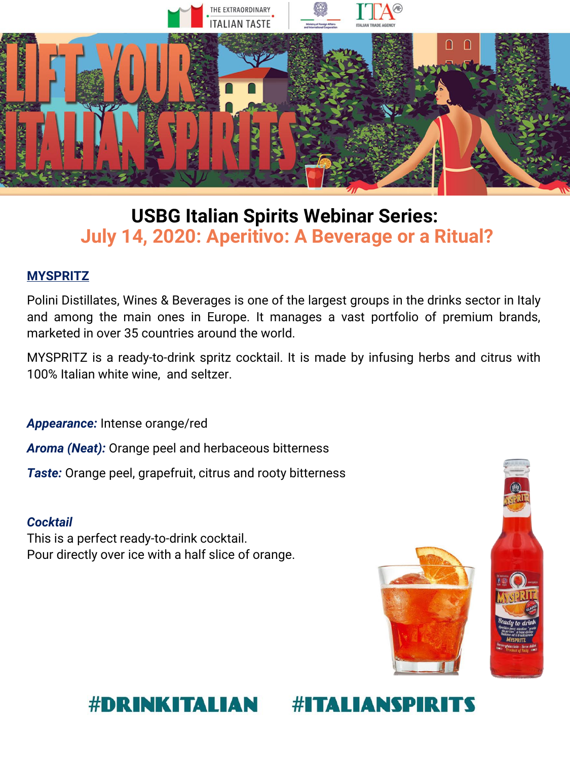

## **USBG Italian Spirits Webinar Series: July 14, 2020: Aperitivo: A Beverage or a Ritual?**

## **MYSPRITZ**

Polini Distillates, Wines & Beverages is one of the largest groups in the drinks sector in Italy and among the main ones in Europe. It manages a vast portfolio of premium brands, marketed in over 35 countries around the world.

MYSPRITZ is a ready-to-drink spritz cocktail. It is made by infusing herbs and citrus with 100% Italian white wine, and seltzer.

*Appearance:* Intense orange/red

*Aroma (Neat):* Orange peel and herbaceous bitterness

*Taste:* Orange peel, grapefruit, citrus and rooty bitterness

## *Cocktail*

This is a perfect ready-to-drink cocktail. Pour directly over ice with a half slice of orange.



#### **#DRINKITALIAN #ITALIANSPIR**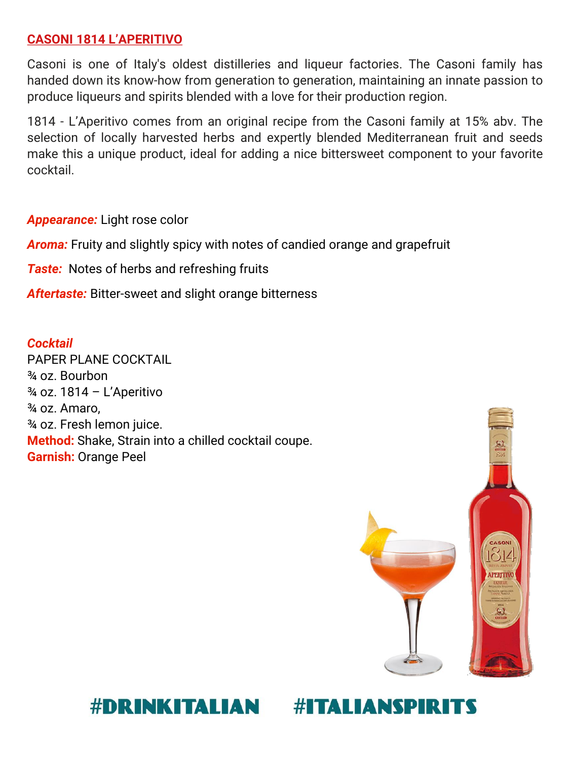## **CASONI 1814 L'APERITIVO**

Casoni is one of Italy's oldest distilleries and liqueur factories. The Casoni family has handed down its know-how from generation to generation, maintaining an innate passion to produce liqueurs and spirits blended with a love for their production region.

1814 - L'Aperitivo comes from an original recipe from the Casoni family at 15% abv. The selection of locally harvested herbs and expertly blended Mediterranean fruit and seeds make this a unique product, ideal for adding a nice bittersweet component to your favorite cocktail.

*Appearance:* Light rose color

*Aroma:* Fruity and slightly spicy with notes of candied orange and grapefruit

*Taste:* Notes of herbs and refreshing fruits

*Aftertaste:* Bitter-sweet and slight orange bitterness

*Cocktail*  PAPER PLANE COCKTAIL ¾ oz. Bourbon ¾ oz. 1814 – L'Aperitivo ¾ oz. Amaro, ¾ oz. Fresh lemon juice. **Method:** Shake, Strain into a chilled cocktail coupe. **Garnish:** Orange Peel



#### #DRINKITALIAN **#ITALIANSPIR**